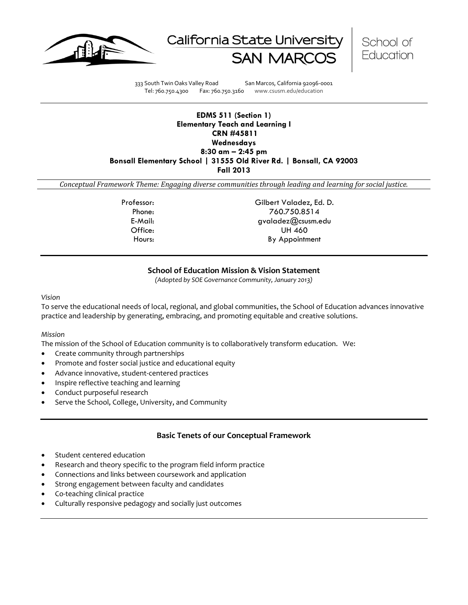





333 South Twin Oaks Valley Road San Marcos, California 92096-0001 Tel: 760.750.4300 Fax: 760.750.3160 www.csusm.edu/education

#### **EDMS 511 (Section 1) Elementary Teach and Learning I CRN #45811 Wednesdays 8:30 am – 2:45 pm Bonsall Elementary School | 31555 Old River Rd. | Bonsall, CA 92003 Fall 2013**

*Conceptual Framework Theme: Engaging diverse communities through leading and learning for social justice.*

Professor: Gilbert Valadez, Ed. D. Phone: 760.750.8514 E-Mail: gvaladez@csusm.edu Office: UH 460 Hours: By Appointment

## **School of Education Mission & Vision Statement**

*(Adopted by SOE Governance Community, January 2013)*

*Vision*

To serve the educational needs of local, regional, and global communities, the School of Education advances innovative practice and leadership by generating, embracing, and promoting equitable and creative solutions.

#### *Mission*

The mission of the School of Education community is to collaboratively transform education. We:

- Create community through partnerships
- Promote and foster social justice and educational equity
- Advance innovative, student-centered practices
- Inspire reflective teaching and learning
- Conduct purposeful research
- Serve the School, College, University, and Community

#### **Basic Tenets of our Conceptual Framework**

- Student centered education
- Research and theory specific to the program field inform practice
- Connections and links between coursework and application
- Strong engagement between faculty and candidates
- Co-teaching clinical practice
- Culturally responsive pedagogy and socially just outcomes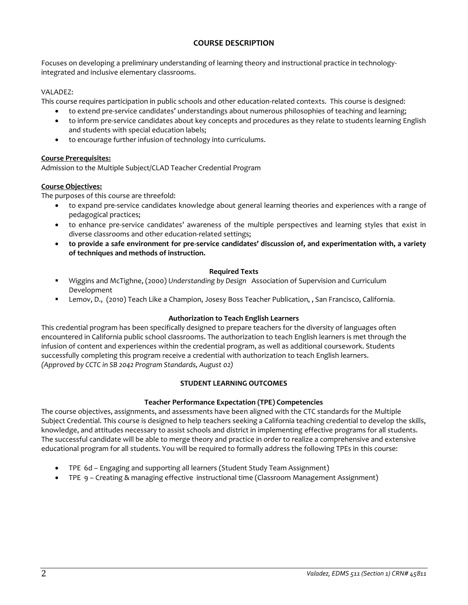## **COURSE DESCRIPTION**

Focuses on developing a preliminary understanding of learning theory and instructional practice in technologyintegrated and inclusive elementary classrooms.

## VALADEZ:

This course requires participation in public schools and other education-related contexts. This course is designed:

- to extend pre-service candidates' understandings about numerous philosophies of teaching and learning;
- to inform pre-service candidates about key concepts and procedures as they relate to students learning English and students with special education labels;
- to encourage further infusion of technology into curriculums.

### **Course Prerequisites:**

Admission to the Multiple Subject/CLAD Teacher Credential Program

## **Course Objectives:**

The purposes of this course are threefold:

- to expand pre-service candidates knowledge about general learning theories and experiences with a range of pedagogical practices;
- to enhance pre-service candidates' awareness of the multiple perspectives and learning styles that exist in diverse classrooms and other education-related settings;
- **to provide a safe environment for pre-service candidates' discussion of, and experimentation with, a variety of techniques and methods of instruction.**

#### **Required Texts**

- Wiggins and McTighne, (2000) *Understanding by Design* Association of Supervision and Curriculum Development
- Lemov, D., (2010) Teach Like a Champion, Josesy Boss Teacher Publication, , San Francisco, California.

#### **Authorization to Teach English Learners**

This credential program has been specifically designed to prepare teachers for the diversity of languages often encountered in California public school classrooms. The authorization to teach English learners is met through the infusion of content and experiences within the credential program, as well as additional coursework. Students successfully completing this program receive a credential with authorization to teach English learners. *(Approved by CCTC in SB 2042 Program Standards, August 02)*

## **STUDENT LEARNING OUTCOMES**

## **Teacher Performance Expectation (TPE) Competencies**

The course objectives, assignments, and assessments have been aligned with the CTC standards for the Multiple Subject Credential. This course is designed to help teachers seeking a California teaching credential to develop the skills, knowledge, and attitudes necessary to assist schools and district in implementing effective programs for all students. The successful candidate will be able to merge theory and practice in order to realize a comprehensive and extensive educational program for all students. You will be required to formally address the following TPEs in this course:

- TPE 6d Engaging and supporting all learners (Student Study Team Assignment)
- TPE 9 Creating & managing effective instructional time (Classroom Management Assignment)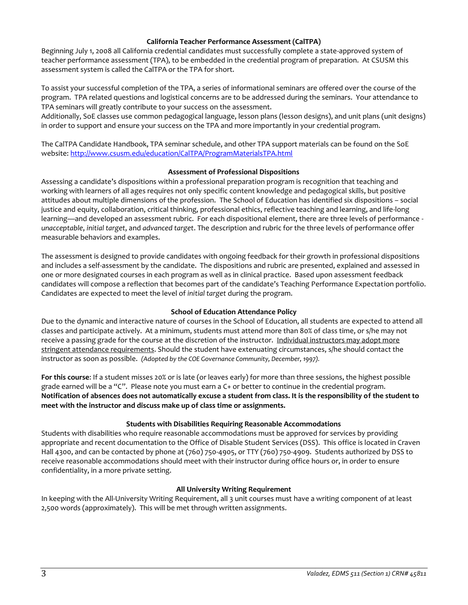#### **California Teacher Performance Assessment (CalTPA)**

Beginning July 1, 2008 all California credential candidates must successfully complete a state-approved system of teacher performance assessment (TPA), to be embedded in the credential program of preparation. At CSUSM this assessment system is called the CalTPA or the TPA for short.

To assist your successful completion of the TPA, a series of informational seminars are offered over the course of the program. TPA related questions and logistical concerns are to be addressed during the seminars. Your attendance to TPA seminars will greatly contribute to your success on the assessment.

Additionally, SoE classes use common pedagogical language, lesson plans (lesson designs), and unit plans (unit designs) in order to support and ensure your success on the TPA and more importantly in your credential program.

The CalTPA Candidate Handbook, TPA seminar schedule, and other TPA support materials can be found on the SoE website:<http://www.csusm.edu/education/CalTPA/ProgramMaterialsTPA.html>

### **Assessment of Professional Dispositions**

Assessing a candidate's dispositions within a professional preparation program is recognition that teaching and working with learners of all ages requires not only specific content knowledge and pedagogical skills, but positive attitudes about multiple dimensions of the profession. The School of Education has identified six dispositions – social justice and equity, collaboration, critical thinking, professional ethics, reflective teaching and learning, and life-long learning—and developed an assessment rubric. For each dispositional element, there are three levels of performance *unacceptable*, *initial target*, and *advanced target*. The description and rubric for the three levels of performance offer measurable behaviors and examples.

The assessment is designed to provide candidates with ongoing feedback for their growth in professional dispositions and includes a self-assessment by the candidate. The dispositions and rubric are presented, explained and assessed in one or more designated courses in each program as well as in clinical practice. Based upon assessment feedback candidates will compose a reflection that becomes part of the candidate's Teaching Performance Expectation portfolio. Candidates are expected to meet the level of *initial target* during the program.

## **School of Education Attendance Policy**

Due to the dynamic and interactive nature of courses in the School of Education, all students are expected to attend all classes and participate actively. At a minimum, students must attend more than 80% of class time, or s/he may not receive a passing grade for the course at the discretion of the instructor. Individual instructors may adopt more stringent attendance requirements. Should the student have extenuating circumstances, s/he should contact the instructor as soon as possible. *(Adopted by the COE Governance Community, December, 1997).*

**For this course**: If a student misses 20% or is late (or leaves early) for more than three sessions, the highest possible grade earned will be a "C". Please note you must earn a C+ or better to continue in the credential program. **Notification of absences does not automatically excuse a student from class. It is the responsibility of the student to meet with the instructor and discuss make up of class time or assignments.**

## **Students with Disabilities Requiring Reasonable Accommodations**

Students with disabilities who require reasonable accommodations must be approved for services by providing appropriate and recent documentation to the Office of Disable Student Services (DSS). This office is located in Craven Hall 4300, and can be contacted by phone at (760) 750-4905, or TTY (760) 750-4909. Students authorized by DSS to receive reasonable accommodations should meet with their instructor during office hours or, in order to ensure confidentiality, in a more private setting.

## **All University Writing Requirement**

In keeping with the All-University Writing Requirement, all 3 unit courses must have a writing component of at least 2,500 words (approximately). This will be met through written assignments.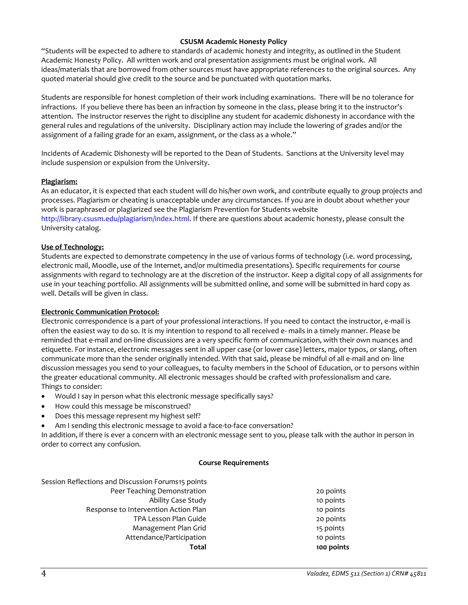### **CSUSM Academic Honesty Policy**

"Students will be expected to adhere to standards of academic honesty and integrity, as outlined in the Student Academic Honesty Policy. All written work and oral presentation assignments must be original work. All ideas/materials that are borrowed from other sources must have appropriate references to the original sources. Any quoted material should give credit to the source and be punctuated with quotation marks.

Students are responsible for honest completion of their work including examinations. There will be no tolerance for infractions. If you believe there has been an infraction by someone in the class, please bring it to the instructor's attention. The instructor reserves the right to discipline any student for academic dishonesty in accordance with the general rules and regulations of the university. Disciplinary action may include the lowering of grades and/or the assignment of a failing grade for an exam, assignment, or the class as a whole."

Incidents of Academic Dishonesty will be reported to the Dean of Students. Sanctions at the University level may include suspension or expulsion from the University.

#### **Plagiarism:**

As an educator, it is expected that each student will do his/her own work, and contribute equally to group projects and processes. Plagiarism or cheating is unacceptable under any circumstances. If you are in doubt about whether your work is paraphrased or plagiarized see the Plagiarism Prevention for Students website http://library.csusm.edu/plagiarism/index.html. If there are questions about academic honesty, please consult the University catalog.

### **Use of Technology:**

Students are expected to demonstrate competency in the use of various forms of technology (i.e. word processing, electronic mail, Moodle, use of the Internet, and/or multimedia presentations). Specific requirements for course assignments with regard to technology are at the discretion of the instructor. Keep a digital copy of all assignments for use in your teaching portfolio. All assignments will be submitted online, and some will be submitted in hard copy as well. Details will be given in class.

#### **Electronic Communication Protocol:**

Electronic correspondence is a part of your professional interactions. If you need to contact the instructor, e-mail is often the easiest way to do so. It is my intention to respond to all received e- mails in a timely manner. Please be reminded that e-mail and on-line discussions are a very specific form of communication, with their own nuances and etiquette. For instance, electronic messages sent in all upper case (or lower case) letters, major typos, or slang, often communicate more than the sender originally intended. With that said, please be mindful of all e-mail and on- line discussion messages you send to your colleagues, to faculty members in the School of Education, or to persons within the greater educational community. All electronic messages should be crafted with professionalism and care. Things to consider:

- Would I say in person what this electronic message specifically says?
- How could this message be misconstrued?
- Does this message represent my highest self?
- Am I sending this electronic message to avoid a face-to-face conversation?

In addition, if there is ever a concern with an electronic message sent to you, please talk with the author in person in order to correct any confusion.

#### **Course Requirements**

| Total                                              | 100 points |
|----------------------------------------------------|------------|
| Attendance/Participation                           | 10 points  |
| Management Plan Grid                               | 15 points  |
| TPA Lesson Plan Guide                              | 20 points  |
| Response to Intervention Action Plan               | 10 points  |
| Ability Case Study                                 | 10 points  |
| Peer Teaching Demonstration                        | 20 points  |
| Session Reflections and Discussion Forums15 points |            |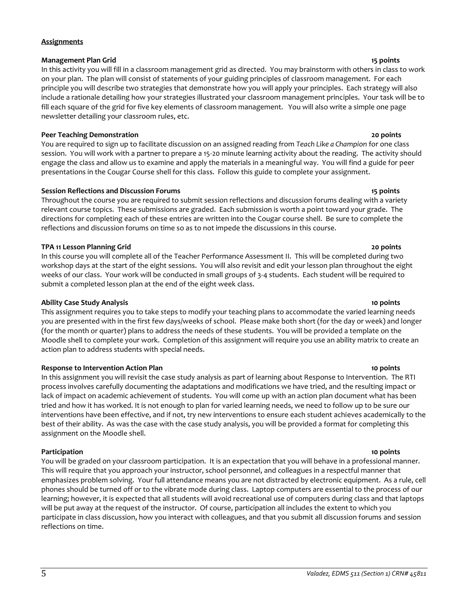#### **Assignments**

#### **Management Plan Grid 15 points**

In this activity you will fill in a classroom management grid as directed. You may brainstorm with others in class to work on your plan. The plan will consist of statements of your guiding principles of classroom management. For each principle you will describe two strategies that demonstrate how you will apply your principles. Each strategy will also include a rationale detailing how your strategies illustrated your classroom management principles. Your task will be to fill each square of the grid for five key elements of classroom management. You will also write a simple one page newsletter detailing your classroom rules, etc.

## **Peer Teaching Demonstration 20 points**

You are required to sign up to facilitate discussion on an assigned reading from *Teach Like a Champion* for one class session. You will work with a partner to prepare a 15-20 minute learning activity about the reading. The activity should engage the class and allow us to examine and apply the materials in a meaningful way. You will find a guide for peer presentations in the Cougar Course shell for this class. Follow this guide to complete your assignment.

### **Session Reflections and Discussion Forums 15 points**

Throughout the course you are required to submit session reflections and discussion forums dealing with a variety relevant course topics. These submissions are graded. Each submission is worth a point toward your grade. The directions for completing each of these entries are written into the Cougar course shell. Be sure to complete the reflections and discussion forums on time so as to not impede the discussions in this course.

### **TPA 11 Lesson Planning Grid 20 points**

In this course you will complete all of the Teacher Performance Assessment II. This will be completed during two workshop days at the start of the eight sessions. You will also revisit and edit your lesson plan throughout the eight weeks of our class. Your work will be conducted in small groups of 3-4 students. Each student will be required to submit a completed lesson plan at the end of the eight week class.

## **Ability Case Study Analysis 10 points**

This assignment requires you to take steps to modify your teaching plans to accommodate the varied learning needs you are presented with in the first few days/weeks of school. Please make both short (for the day or week) and longer (for the month or quarter) plans to address the needs of these students. You will be provided a template on the Moodle shell to complete your work. Completion of this assignment will require you use an ability matrix to create an action plan to address students with special needs.

#### **Response to Intervention Action Plan 10 points**

In this assignment you will revisit the case study analysis as part of learning about Response to Intervention. The RTI process involves carefully documenting the adaptations and modifications we have tried, and the resulting impact or lack of impact on academic achievement of students. You will come up with an action plan document what has been tried and how it has worked. It is not enough to plan for varied learning needs, we need to follow up to be sure our interventions have been effective, and if not, try new interventions to ensure each student achieves academically to the best of their ability. As was the case with the case study analysis, you will be provided a format for completing this assignment on the Moodle shell.

**Participation 10 points** You will be graded on your classroom participation. It is an expectation that you will behave in a professional manner. This will require that you approach your instructor, school personnel, and colleagues in a respectful manner that emphasizes problem solving. Your full attendance means you are not distracted by electronic equipment. As a rule, cell phones should be turned off or to the vibrate mode during class. Laptop computers are essential to the process of our learning; however, it is expected that all students will avoid recreational use of computers during class and that laptops will be put away at the request of the instructor. Of course, participation all includes the extent to which you participate in class discussion, how you interact with colleagues, and that you submit all discussion forums and session reflections on time.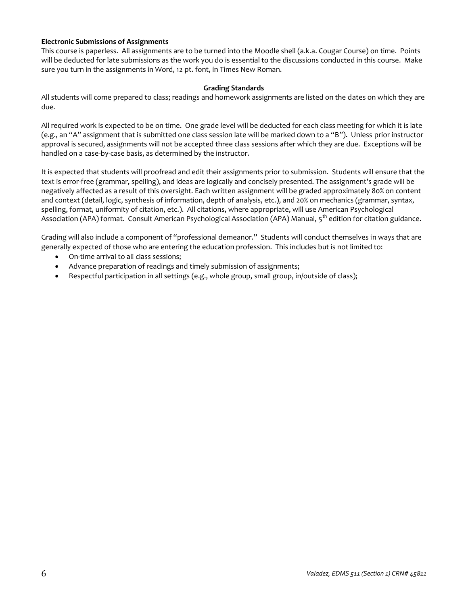## **Electronic Submissions of Assignments**

This course is paperless. All assignments are to be turned into the Moodle shell (a.k.a. Cougar Course) on time. Points will be deducted for late submissions as the work you do is essential to the discussions conducted in this course. Make sure you turn in the assignments in Word, 12 pt. font, in Times New Roman.

#### **Grading Standards**

All students will come prepared to class; readings and homework assignments are listed on the dates on which they are due.

All required work is expected to be on time. One grade level will be deducted for each class meeting for which it is late (e.g., an "A" assignment that is submitted one class session late will be marked down to a "B"). Unless prior instructor approval is secured, assignments will not be accepted three class sessions after which they are due. Exceptions will be handled on a case-by-case basis, as determined by the instructor.

It is expected that students will proofread and edit their assignments prior to submission. Students will ensure that the text is error-free (grammar, spelling), and ideas are logically and concisely presented. The assignment's grade will be negatively affected as a result of this oversight. Each written assignment will be graded approximately 80% on content and context (detail, logic, synthesis of information, depth of analysis, etc.), and 20% on mechanics (grammar, syntax, spelling, format, uniformity of citation, etc.). All citations, where appropriate, will use American Psychological Association (APA) format. Consult American Psychological Association (APA) Manual, 5<sup>th</sup> edition for citation guidance.

Grading will also include a component of "professional demeanor." Students will conduct themselves in ways that are generally expected of those who are entering the education profession. This includes but is not limited to:

- On-time arrival to all class sessions;
- Advance preparation of readings and timely submission of assignments;
- Respectful participation in all settings (e.g., whole group, small group, in/outside of class);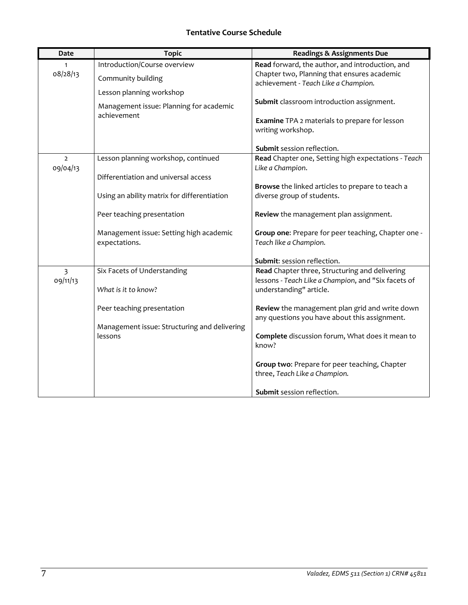# **Tentative Course Schedule**

| Date                       | <b>Topic</b>                                                        | <b>Readings &amp; Assignments Due</b>                                                           |
|----------------------------|---------------------------------------------------------------------|-------------------------------------------------------------------------------------------------|
| 08/28/13                   | Introduction/Course overview                                        | Read forward, the author, and introduction, and<br>Chapter two, Planning that ensures academic  |
|                            | Community building                                                  | achievement - Teach Like a Champion.                                                            |
|                            | Lesson planning workshop<br>Management issue: Planning for academic | Submit classroom introduction assignment.                                                       |
|                            | achievement                                                         | <b>Examine</b> TPA 2 materials to prepare for lesson<br>writing workshop.                       |
|                            |                                                                     | Submit session reflection.                                                                      |
| $\overline{2}$<br>09/04/13 | Lesson planning workshop, continued                                 | Read Chapter one, Setting high expectations - Teach<br>Like a Champion.                         |
|                            | Differentiation and universal access                                |                                                                                                 |
|                            |                                                                     | Browse the linked articles to prepare to teach a                                                |
|                            | Using an ability matrix for differentiation                         | diverse group of students.                                                                      |
|                            | Peer teaching presentation                                          | Review the management plan assignment.                                                          |
|                            | Management issue: Setting high academic                             | Group one: Prepare for peer teaching, Chapter one -                                             |
|                            | expectations.                                                       | Teach like a Champion.                                                                          |
|                            |                                                                     | Submit: session reflection.                                                                     |
| 3<br>09/11/13              | Six Facets of Understanding                                         | Read Chapter three, Structuring and delivering                                                  |
|                            |                                                                     | lessons - Teach Like a Champion, and "Six facets of                                             |
|                            | What is it to know?                                                 | understanding" article.                                                                         |
|                            | Peer teaching presentation                                          | Review the management plan grid and write down<br>any questions you have about this assignment. |
|                            | Management issue: Structuring and delivering                        |                                                                                                 |
|                            | lessons                                                             | Complete discussion forum, What does it mean to<br>know?                                        |
|                            |                                                                     | Group two: Prepare for peer teaching, Chapter<br>three, Teach Like a Champion.                  |
|                            |                                                                     |                                                                                                 |
|                            |                                                                     | Submit session reflection.                                                                      |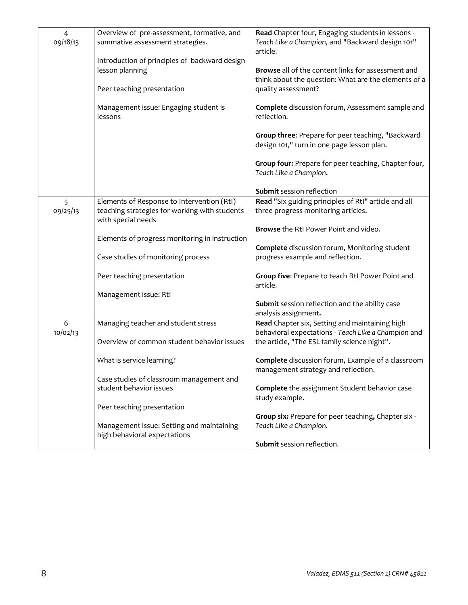| $\overline{4}$<br>09/18/13 | Overview of pre-assessment, formative, and<br>summative assessment strategies.                 | Read Chapter four, Engaging students in lessons -<br>Teach Like a Champion, and "Backward design 101"<br>article.                 |
|----------------------------|------------------------------------------------------------------------------------------------|-----------------------------------------------------------------------------------------------------------------------------------|
|                            | Introduction of principles of backward design<br>lesson planning<br>Peer teaching presentation | Browse all of the content links for assessment and<br>think about the question: What are the elements of a<br>quality assessment? |
|                            | Management issue: Engaging student is<br>lessons                                               | Complete discussion forum, Assessment sample and<br>reflection.                                                                   |
|                            |                                                                                                | Group three: Prepare for peer teaching, "Backward<br>design 101," turn in one page lesson plan.                                   |
|                            |                                                                                                | Group four: Prepare for peer teaching, Chapter four,<br>Teach Like a Champion.                                                    |
|                            |                                                                                                | Submit session reflection                                                                                                         |
| 5                          | Elements of Response to Intervention (RtI)                                                     | Read "Six guiding principles of RtI" article and all                                                                              |
| 09/25/13                   | teaching strategies for working with students<br>with special needs                            | three progress monitoring articles.                                                                                               |
|                            | Elements of progress monitoring in instruction                                                 | Browse the RtI Power Point and video.                                                                                             |
|                            |                                                                                                | Complete discussion forum, Monitoring student                                                                                     |
|                            | Case studies of monitoring process                                                             | progress example and reflection.                                                                                                  |
|                            | Peer teaching presentation                                                                     | Group five: Prepare to teach RtI Power Point and<br>article.                                                                      |
|                            | Management issue: RtI                                                                          |                                                                                                                                   |
|                            |                                                                                                | Submit session reflection and the ability case<br>analysis assignment.                                                            |
| 6<br>10/02/13              | Managing teacher and student stress                                                            | Read Chapter six, Setting and maintaining high<br>behavioral expectations - Teach Like a Champion and                             |
|                            | Overview of common student behavior issues                                                     | the article, "The ESL family science night".                                                                                      |
|                            | What is service learning?                                                                      | Complete discussion forum, Example of a classroom<br>management strategy and reflection.                                          |
|                            | Case studies of classroom management and<br>student behavior issues                            | Complete the assignment Student behavior case<br>study example.                                                                   |
|                            | Peer teaching presentation                                                                     |                                                                                                                                   |
|                            | Management issue: Setting and maintaining<br>high behavioral expectations                      | Group six: Prepare for peer teaching, Chapter six -<br>Teach Like a Champion.                                                     |
|                            |                                                                                                | Submit session reflection.                                                                                                        |